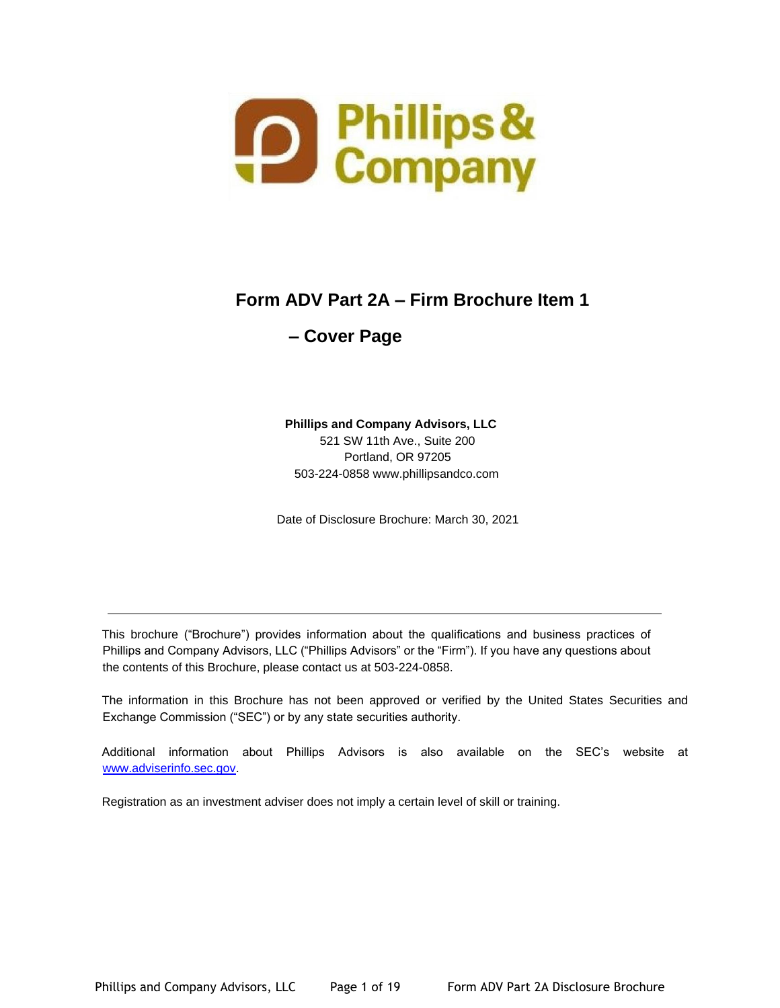

# **Form ADV Part 2A – Firm Brochure Item 1**

# **– Cover Page**

## **Phillips and Company Advisors, LLC**  521 SW 11th Ave., Suite 200 Portland, OR 97205 503-224-0858 www.phillipsandco.com

Date of Disclosure Brochure: March 30, 2021

This brochure ("Brochure") provides information about the qualifications and business practices of Phillips and Company Advisors, LLC ("Phillips Advisors" or the "Firm"). If you have any questions about the contents of this Brochure, please contact us at 503-224-0858.

The information in this Brochure has not been approved or verified by the United States Securities and Exchange Commission ("SEC") or by any state securities authority.

Additional information about Phillips Advisors is also available on the SEC's website at www.adviserinfo.sec.gov.

Registration as an investment adviser does not imply a certain level of skill or training.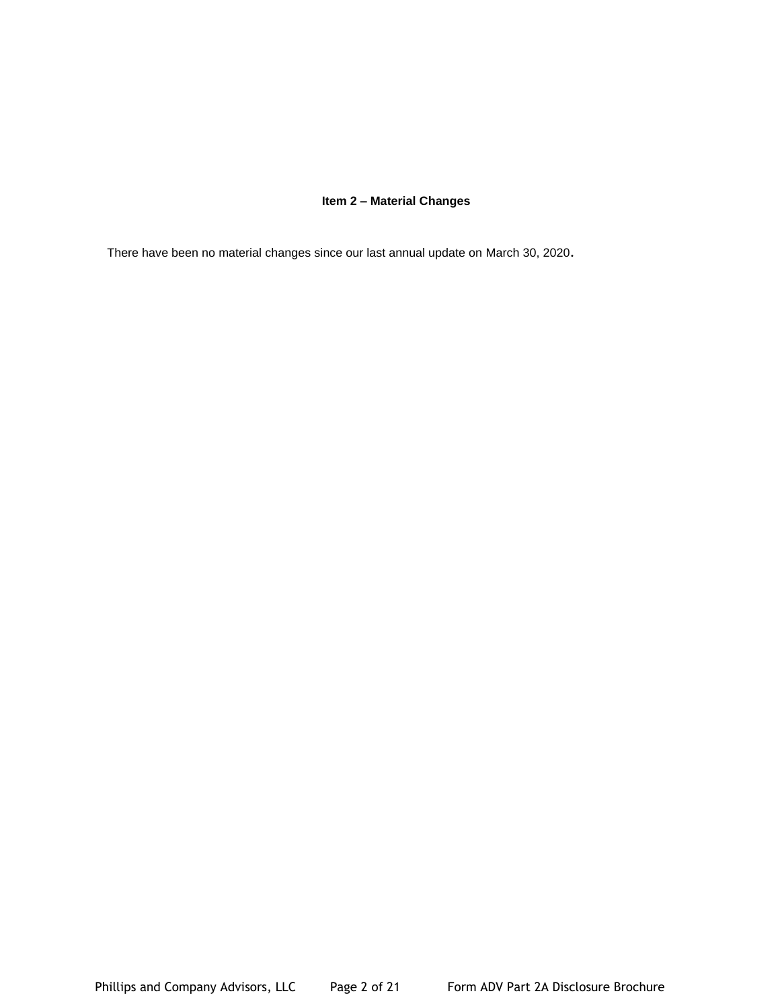## **Item 2 – Material Changes**

There have been no material changes since our last annual update on March 30, 2020.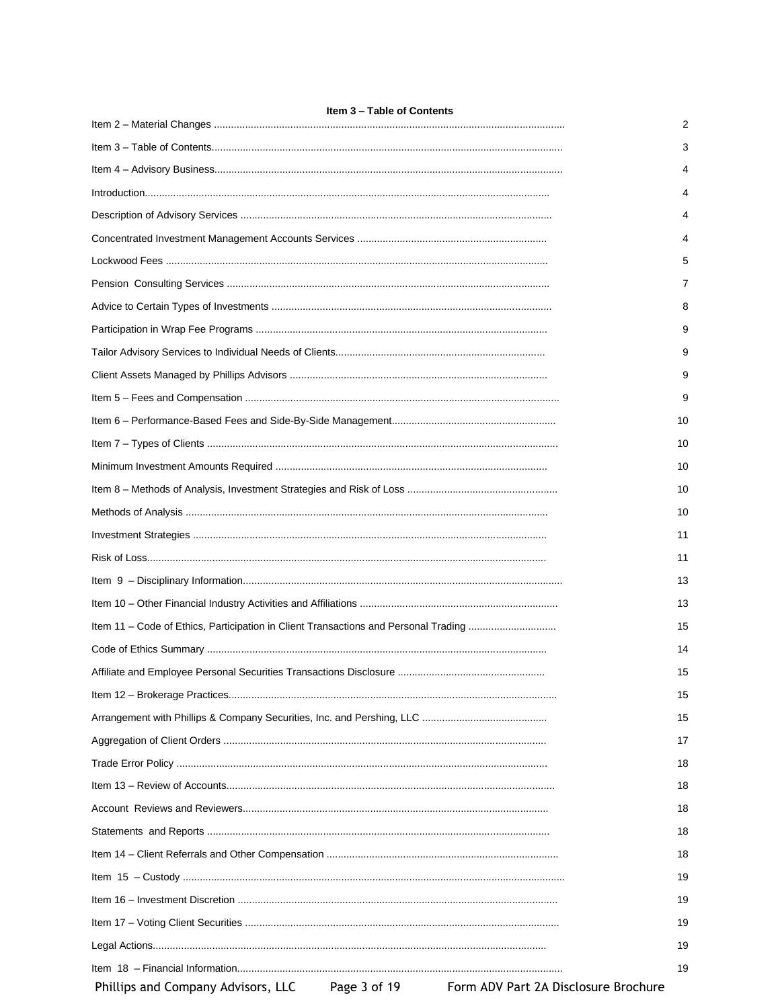| Item 3 – Table of Contents                                                          |    |
|-------------------------------------------------------------------------------------|----|
|                                                                                     | 2  |
|                                                                                     | 3  |
|                                                                                     | 4  |
|                                                                                     | 4  |
|                                                                                     | 4  |
|                                                                                     | 4  |
|                                                                                     | 5  |
|                                                                                     | 7  |
|                                                                                     | 8  |
|                                                                                     | 9  |
|                                                                                     | 9  |
|                                                                                     | 9  |
|                                                                                     | 9  |
|                                                                                     | 10 |
|                                                                                     | 10 |
|                                                                                     | 10 |
|                                                                                     | 10 |
|                                                                                     | 10 |
|                                                                                     | 11 |
|                                                                                     | 11 |
|                                                                                     | 13 |
|                                                                                     | 13 |
| Item 11 - Code of Ethics, Participation in Client Transactions and Personal Trading | 15 |
|                                                                                     | 14 |
|                                                                                     | 15 |
|                                                                                     | 15 |
|                                                                                     | 15 |
|                                                                                     | 17 |
|                                                                                     | 18 |
|                                                                                     | 18 |
|                                                                                     | 18 |
|                                                                                     | 18 |
|                                                                                     | 18 |
|                                                                                     | 19 |
|                                                                                     | 19 |
|                                                                                     | 19 |
|                                                                                     | 19 |
|                                                                                     | 19 |
|                                                                                     |    |

Phillips and Company Advisors, LLC

Form ADV Part 2A Disclosure Brochure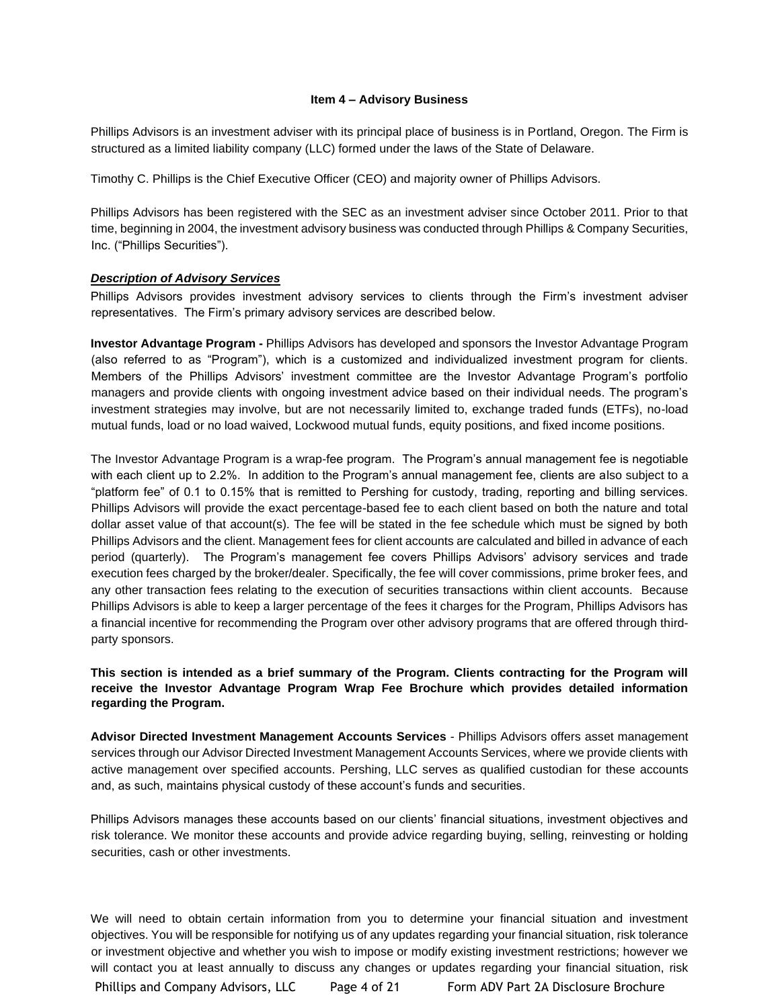#### **Item 4 – Advisory Business**

Phillips Advisors is an investment adviser with its principal place of business is in Portland, Oregon. The Firm is structured as a limited liability company (LLC) formed under the laws of the State of Delaware.

Timothy C. Phillips is the Chief Executive Officer (CEO) and majority owner of Phillips Advisors.

Phillips Advisors has been registered with the SEC as an investment adviser since October 2011. Prior to that time, beginning in 2004, the investment advisory business was conducted through Phillips & Company Securities, Inc. ("Phillips Securities").

#### *Description of Advisory Services*

Phillips Advisors provides investment advisory services to clients through the Firm's investment adviser representatives. The Firm's primary advisory services are described below.

**Investor Advantage Program -** Phillips Advisors has developed and sponsors the Investor Advantage Program (also referred to as "Program"), which is a customized and individualized investment program for clients. Members of the Phillips Advisors' investment committee are the Investor Advantage Program's portfolio managers and provide clients with ongoing investment advice based on their individual needs. The program's investment strategies may involve, but are not necessarily limited to, exchange traded funds (ETFs), no-load mutual funds, load or no load waived, Lockwood mutual funds, equity positions, and fixed income positions.

The Investor Advantage Program is a wrap-fee program. The Program's annual management fee is negotiable with each client up to 2.2%. In addition to the Program's annual management fee, clients are also subject to a "platform fee" of 0.1 to 0.15% that is remitted to Pershing for custody, trading, reporting and billing services. Phillips Advisors will provide the exact percentage-based fee to each client based on both the nature and total dollar asset value of that account(s). The fee will be stated in the fee schedule which must be signed by both Phillips Advisors and the client. Management fees for client accounts are calculated and billed in advance of each period (quarterly). The Program's management fee covers Phillips Advisors' advisory services and trade execution fees charged by the broker/dealer. Specifically, the fee will cover commissions, prime broker fees, and any other transaction fees relating to the execution of securities transactions within client accounts. Because Phillips Advisors is able to keep a larger percentage of the fees it charges for the Program, Phillips Advisors has a financial incentive for recommending the Program over other advisory programs that are offered through thirdparty sponsors.

## **This section is intended as a brief summary of the Program. Clients contracting for the Program will receive the Investor Advantage Program Wrap Fee Brochure which provides detailed information regarding the Program.**

**Advisor Directed Investment Management Accounts Services** - Phillips Advisors offers asset management services through our Advisor Directed Investment Management Accounts Services, where we provide clients with active management over specified accounts. Pershing, LLC serves as qualified custodian for these accounts and, as such, maintains physical custody of these account's funds and securities.

Phillips Advisors manages these accounts based on our clients' financial situations, investment objectives and risk tolerance. We monitor these accounts and provide advice regarding buying, selling, reinvesting or holding securities, cash or other investments.

We will need to obtain certain information from you to determine your financial situation and investment objectives. You will be responsible for notifying us of any updates regarding your financial situation, risk tolerance or investment objective and whether you wish to impose or modify existing investment restrictions; however we will contact you at least annually to discuss any changes or updates regarding your financial situation, risk

Phillips and Company Advisors, LLC Page 4 of 21 Form ADV Part 2A Disclosure Brochure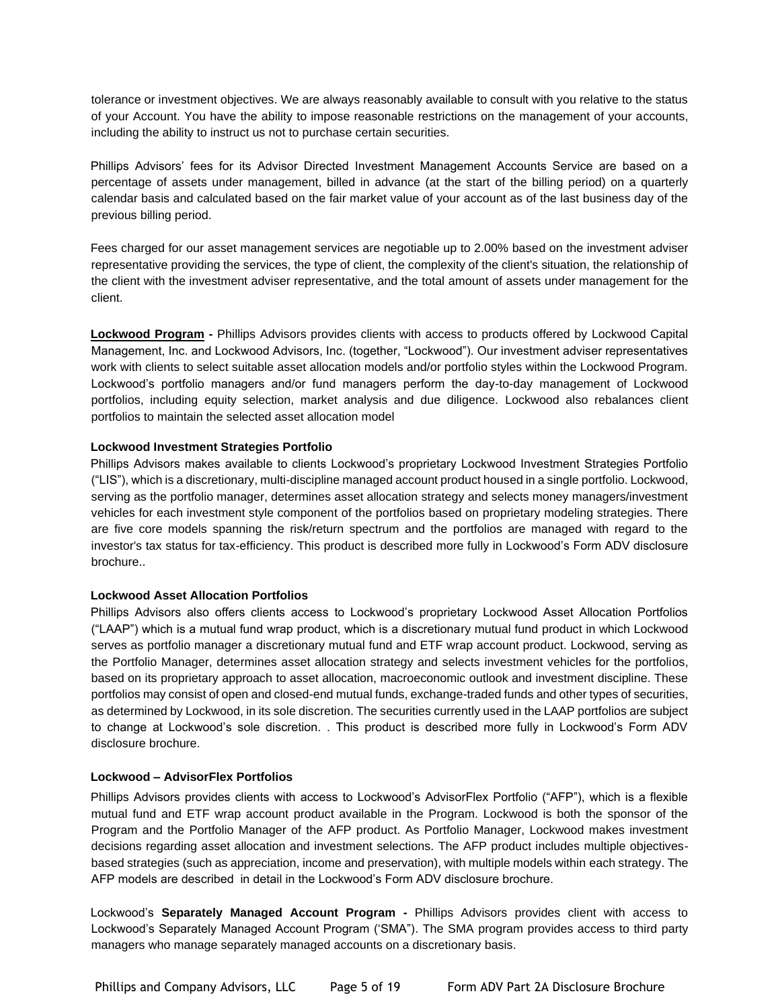tolerance or investment objectives. We are always reasonably available to consult with you relative to the status of your Account. You have the ability to impose reasonable restrictions on the management of your accounts, including the ability to instruct us not to purchase certain securities.

Phillips Advisors' fees for its Advisor Directed Investment Management Accounts Service are based on a percentage of assets under management, billed in advance (at the start of the billing period) on a quarterly calendar basis and calculated based on the fair market value of your account as of the last business day of the previous billing period.

Fees charged for our asset management services are negotiable up to 2.00% based on the investment adviser representative providing the services, the type of client, the complexity of the client's situation, the relationship of the client with the investment adviser representative, and the total amount of assets under management for the client.

**Lockwood Program -** Phillips Advisors provides clients with access to products offered by Lockwood Capital Management, Inc. and Lockwood Advisors, Inc. (together, "Lockwood"). Our investment adviser representatives work with clients to select suitable asset allocation models and/or portfolio styles within the Lockwood Program. Lockwood's portfolio managers and/or fund managers perform the day-to-day management of Lockwood portfolios, including equity selection, market analysis and due diligence. Lockwood also rebalances client portfolios to maintain the selected asset allocation model

## **Lockwood Investment Strategies Portfolio**

Phillips Advisors makes available to clients Lockwood's proprietary Lockwood Investment Strategies Portfolio ("LIS"), which is a discretionary, multi-discipline managed account product housed in a single portfolio. Lockwood, serving as the portfolio manager, determines asset allocation strategy and selects money managers/investment vehicles for each investment style component of the portfolios based on proprietary modeling strategies. There are five core models spanning the risk/return spectrum and the portfolios are managed with regard to the investor's tax status for tax-efficiency. This product is described more fully in Lockwood's Form ADV disclosure brochure..

## **Lockwood Asset Allocation Portfolios**

Phillips Advisors also offers clients access to Lockwood's proprietary Lockwood Asset Allocation Portfolios ("LAAP") which is a mutual fund wrap product, which is a discretionary mutual fund product in which Lockwood serves as portfolio manager a discretionary mutual fund and ETF wrap account product. Lockwood, serving as the Portfolio Manager, determines asset allocation strategy and selects investment vehicles for the portfolios, based on its proprietary approach to asset allocation, macroeconomic outlook and investment discipline. These portfolios may consist of open and closed-end mutual funds, exchange-traded funds and other types of securities, as determined by Lockwood, in its sole discretion. The securities currently used in the LAAP portfolios are subject to change at Lockwood's sole discretion. . This product is described more fully in Lockwood's Form ADV disclosure brochure.

## **Lockwood – AdvisorFlex Portfolios**

Phillips Advisors provides clients with access to Lockwood's AdvisorFlex Portfolio ("AFP"), which is a flexible mutual fund and ETF wrap account product available in the Program. Lockwood is both the sponsor of the Program and the Portfolio Manager of the AFP product. As Portfolio Manager, Lockwood makes investment decisions regarding asset allocation and investment selections. The AFP product includes multiple objectivesbased strategies (such as appreciation, income and preservation), with multiple models within each strategy. The AFP models are described in detail in the Lockwood's Form ADV disclosure brochure.

Lockwood's **Separately Managed Account Program -** Phillips Advisors provides client with access to Lockwood's Separately Managed Account Program ('SMA"). The SMA program provides access to third party managers who manage separately managed accounts on a discretionary basis.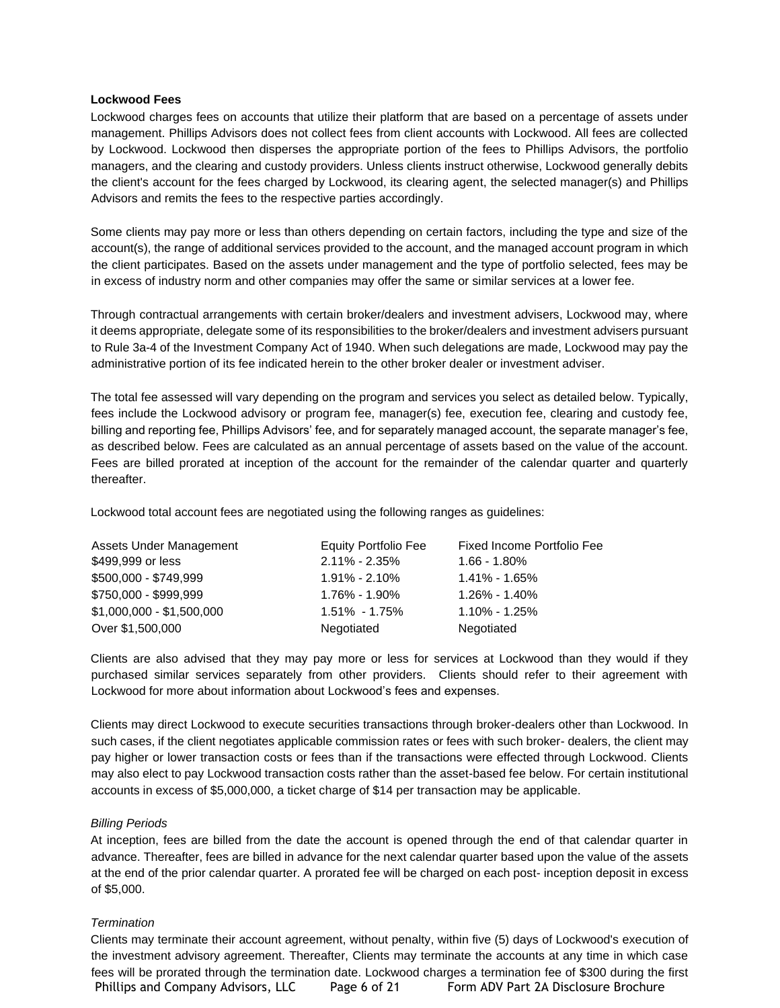#### **Lockwood Fees**

Lockwood charges fees on accounts that utilize their platform that are based on a percentage of assets under management. Phillips Advisors does not collect fees from client accounts with Lockwood. All fees are collected by Lockwood. Lockwood then disperses the appropriate portion of the fees to Phillips Advisors, the portfolio managers, and the clearing and custody providers. Unless clients instruct otherwise, Lockwood generally debits the client's account for the fees charged by Lockwood, its clearing agent, the selected manager(s) and Phillips Advisors and remits the fees to the respective parties accordingly.

Some clients may pay more or less than others depending on certain factors, including the type and size of the account(s), the range of additional services provided to the account, and the managed account program in which the client participates. Based on the assets under management and the type of portfolio selected, fees may be in excess of industry norm and other companies may offer the same or similar services at a lower fee.

Through contractual arrangements with certain broker/dealers and investment advisers, Lockwood may, where it deems appropriate, delegate some of its responsibilities to the broker/dealers and investment advisers pursuant to Rule 3a-4 of the Investment Company Act of 1940. When such delegations are made, Lockwood may pay the administrative portion of its fee indicated herein to the other broker dealer or investment adviser.

The total fee assessed will vary depending on the program and services you select as detailed below. Typically, fees include the Lockwood advisory or program fee, manager(s) fee, execution fee, clearing and custody fee, billing and reporting fee, Phillips Advisors' fee, and for separately managed account, the separate manager's fee, as described below. Fees are calculated as an annual percentage of assets based on the value of the account. Fees are billed prorated at inception of the account for the remainder of the calendar quarter and quarterly thereafter.

Lockwood total account fees are negotiated using the following ranges as guidelines:

| Assets Under Management   | <b>Equity Portfolio Fee</b> | Fixed Income Portfolio Fee |
|---------------------------|-----------------------------|----------------------------|
| \$499,999 or less         | $2.11\% - 2.35\%$           | $1.66 - 1.80\%$            |
| \$500,000 - \$749,999     | $1.91\% - 2.10\%$           | 1.41% - 1.65%              |
| \$750,000 - \$999,999     | 1.76% - 1.90%               | 1.26% - 1.40%              |
| $$1,000,000 - $1,500,000$ | $1.51\% - 1.75\%$           | 1.10% - 1.25%              |
| Over \$1,500,000          | Negotiated                  | Negotiated                 |

Clients are also advised that they may pay more or less for services at Lockwood than they would if they purchased similar services separately from other providers. Clients should refer to their agreement with Lockwood for more about information about Lockwood's fees and expenses.

Clients may direct Lockwood to execute securities transactions through broker-dealers other than Lockwood. In such cases, if the client negotiates applicable commission rates or fees with such broker- dealers, the client may pay higher or lower transaction costs or fees than if the transactions were effected through Lockwood. Clients may also elect to pay Lockwood transaction costs rather than the asset-based fee below. For certain institutional accounts in excess of \$5,000,000, a ticket charge of \$14 per transaction may be applicable.

#### *Billing Periods*

At inception, fees are billed from the date the account is opened through the end of that calendar quarter in advance. Thereafter, fees are billed in advance for the next calendar quarter based upon the value of the assets at the end of the prior calendar quarter. A prorated fee will be charged on each post- inception deposit in excess of \$5,000.

#### *Termination*

Phillips and Company Advisors, LLC Page 6 of 21 Form ADV Part 2A Disclosure Brochure Clients may terminate their account agreement, without penalty, within five (5) days of Lockwood's execution of the investment advisory agreement. Thereafter, Clients may terminate the accounts at any time in which case fees will be prorated through the termination date. Lockwood charges a termination fee of \$300 during the first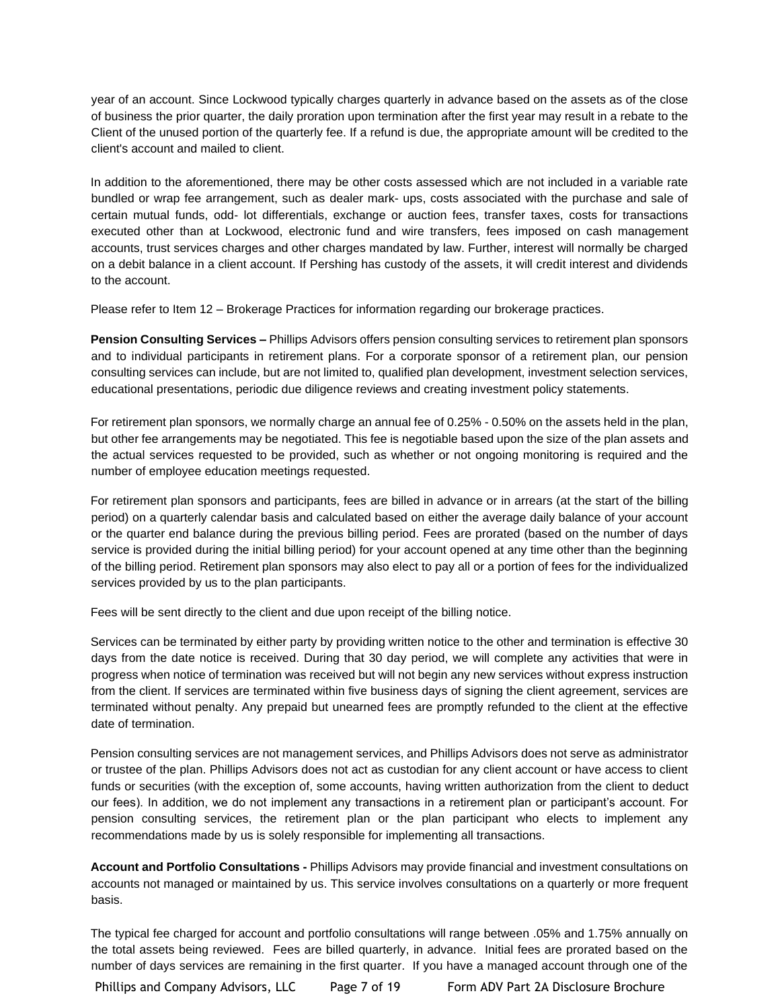year of an account. Since Lockwood typically charges quarterly in advance based on the assets as of the close of business the prior quarter, the daily proration upon termination after the first year may result in a rebate to the Client of the unused portion of the quarterly fee. If a refund is due, the appropriate amount will be credited to the client's account and mailed to client.

In addition to the aforementioned, there may be other costs assessed which are not included in a variable rate bundled or wrap fee arrangement, such as dealer mark- ups, costs associated with the purchase and sale of certain mutual funds, odd- lot differentials, exchange or auction fees, transfer taxes, costs for transactions executed other than at Lockwood, electronic fund and wire transfers, fees imposed on cash management accounts, trust services charges and other charges mandated by law. Further, interest will normally be charged on a debit balance in a client account. If Pershing has custody of the assets, it will credit interest and dividends to the account.

Please refer to Item 12 – Brokerage Practices for information regarding our brokerage practices.

**Pension Consulting Services –** Phillips Advisors offers pension consulting services to retirement plan sponsors and to individual participants in retirement plans. For a corporate sponsor of a retirement plan, our pension consulting services can include, but are not limited to, qualified plan development, investment selection services, educational presentations, periodic due diligence reviews and creating investment policy statements.

For retirement plan sponsors, we normally charge an annual fee of 0.25% - 0.50% on the assets held in the plan, but other fee arrangements may be negotiated. This fee is negotiable based upon the size of the plan assets and the actual services requested to be provided, such as whether or not ongoing monitoring is required and the number of employee education meetings requested.

For retirement plan sponsors and participants, fees are billed in advance or in arrears (at the start of the billing period) on a quarterly calendar basis and calculated based on either the average daily balance of your account or the quarter end balance during the previous billing period. Fees are prorated (based on the number of days service is provided during the initial billing period) for your account opened at any time other than the beginning of the billing period. Retirement plan sponsors may also elect to pay all or a portion of fees for the individualized services provided by us to the plan participants.

Fees will be sent directly to the client and due upon receipt of the billing notice.

Services can be terminated by either party by providing written notice to the other and termination is effective 30 days from the date notice is received. During that 30 day period, we will complete any activities that were in progress when notice of termination was received but will not begin any new services without express instruction from the client. If services are terminated within five business days of signing the client agreement, services are terminated without penalty. Any prepaid but unearned fees are promptly refunded to the client at the effective date of termination.

Pension consulting services are not management services, and Phillips Advisors does not serve as administrator or trustee of the plan. Phillips Advisors does not act as custodian for any client account or have access to client funds or securities (with the exception of, some accounts, having written authorization from the client to deduct our fees). In addition, we do not implement any transactions in a retirement plan or participant's account. For pension consulting services, the retirement plan or the plan participant who elects to implement any recommendations made by us is solely responsible for implementing all transactions.

**Account and Portfolio Consultations -** Phillips Advisors may provide financial and investment consultations on accounts not managed or maintained by us. This service involves consultations on a quarterly or more frequent basis.

The typical fee charged for account and portfolio consultations will range between .05% and 1.75% annually on the total assets being reviewed. Fees are billed quarterly, in advance. Initial fees are prorated based on the number of days services are remaining in the first quarter. If you have a managed account through one of the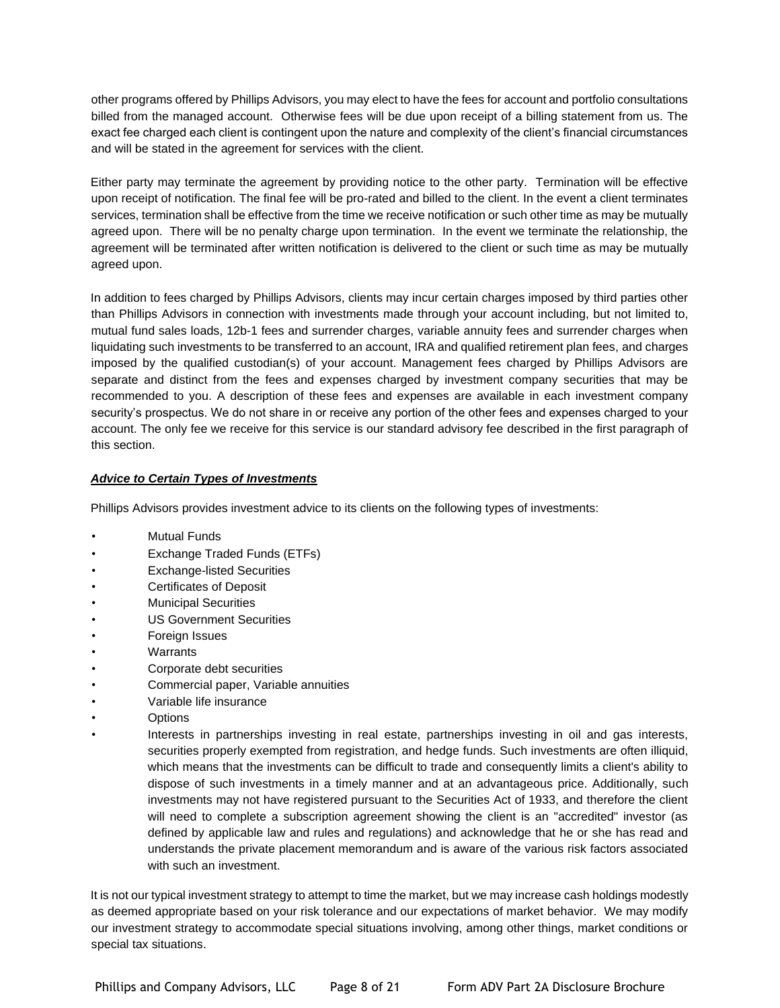other programs offered by Phillips Advisors, you may elect to have the fees for account and portfolio consultations billed from the managed account. Otherwise fees will be due upon receipt of a billing statement from us. The exact fee charged each client is contingent upon the nature and complexity of the client's financial circumstances and will be stated in the agreement for services with the client.

Either party may terminate the agreement by providing notice to the other party. Termination will be effective upon receipt of notification. The final fee will be pro-rated and billed to the client. In the event a client terminates services, termination shall be effective from the time we receive notification or such other time as may be mutually agreed upon. There will be no penalty charge upon termination. In the event we terminate the relationship, the agreement will be terminated after written notification is delivered to the client or such time as may be mutually agreed upon.

In addition to fees charged by Phillips Advisors, clients may incur certain charges imposed by third parties other than Phillips Advisors in connection with investments made through your account including, but not limited to, mutual fund sales loads, 12b-1 fees and surrender charges, variable annuity fees and surrender charges when liquidating such investments to be transferred to an account, IRA and qualified retirement plan fees, and charges imposed by the qualified custodian(s) of your account. Management fees charged by Phillips Advisors are separate and distinct from the fees and expenses charged by investment company securities that may be recommended to you. A description of these fees and expenses are available in each investment company security's prospectus. We do not share in or receive any portion of the other fees and expenses charged to your account. The only fee we receive for this service is our standard advisory fee described in the first paragraph of this section.

## *Advice to Certain Types of Investments*

Phillips Advisors provides investment advice to its clients on the following types of investments:

- **Mutual Funds**
- Exchange Traded Funds (ETFs)
- Exchange-listed Securities
- Certificates of Deposit
- Municipal Securities
- US Government Securities
- Foreign Issues
- **Warrants**
- Corporate debt securities
- Commercial paper, Variable annuities
- Variable life insurance
- Options
- Interests in partnerships investing in real estate, partnerships investing in oil and gas interests, securities properly exempted from registration, and hedge funds. Such investments are often illiquid, which means that the investments can be difficult to trade and consequently limits a client's ability to dispose of such investments in a timely manner and at an advantageous price. Additionally, such investments may not have registered pursuant to the Securities Act of 1933, and therefore the client will need to complete a subscription agreement showing the client is an "accredited" investor (as defined by applicable law and rules and regulations) and acknowledge that he or she has read and understands the private placement memorandum and is aware of the various risk factors associated with such an investment.

It is not our typical investment strategy to attempt to time the market, but we may increase cash holdings modestly as deemed appropriate based on your risk tolerance and our expectations of market behavior. We may modify our investment strategy to accommodate special situations involving, among other things, market conditions or special tax situations.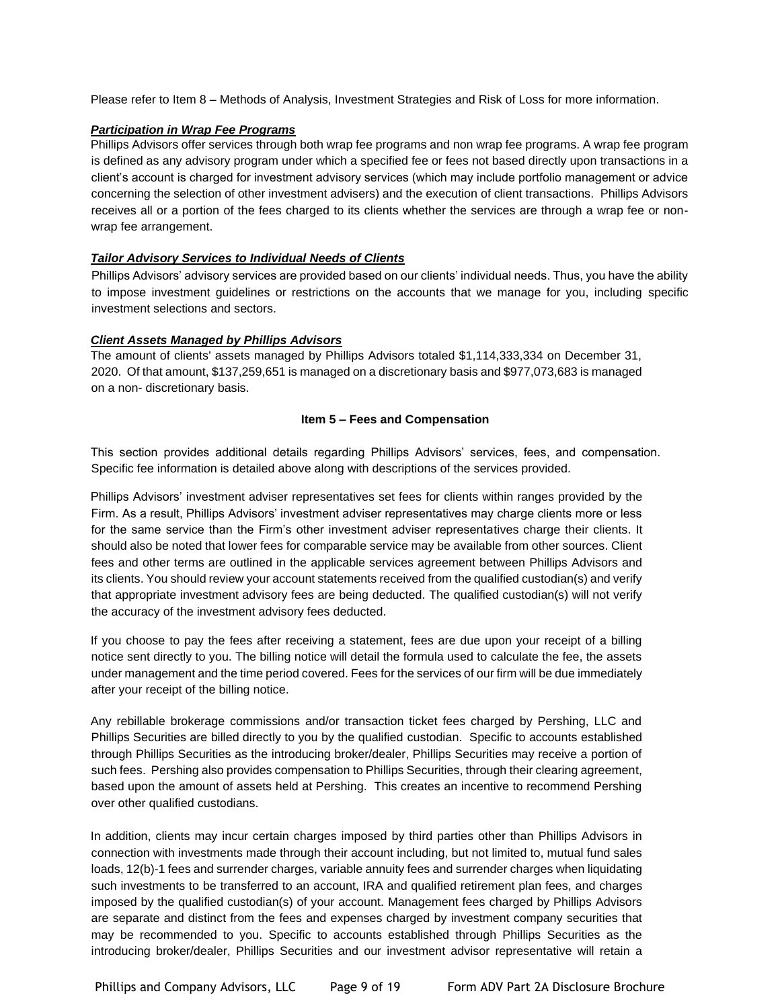Please refer to Item 8 – Methods of Analysis, Investment Strategies and Risk of Loss for more information.

## *Participation in Wrap Fee Programs*

Phillips Advisors offer services through both wrap fee programs and non wrap fee programs. A wrap fee program is defined as any advisory program under which a specified fee or fees not based directly upon transactions in a client's account is charged for investment advisory services (which may include portfolio management or advice concerning the selection of other investment advisers) and the execution of client transactions. Phillips Advisors receives all or a portion of the fees charged to its clients whether the services are through a wrap fee or nonwrap fee arrangement.

## *Tailor Advisory Services to Individual Needs of Clients*

Phillips Advisors' advisory services are provided based on our clients' individual needs. Thus, you have the ability to impose investment guidelines or restrictions on the accounts that we manage for you, including specific investment selections and sectors.

## *Client Assets Managed by Phillips Advisors*

The amount of clients' assets managed by Phillips Advisors totaled \$1,114,333,334 on December 31, 2020. Of that amount, \$137,259,651 is managed on a discretionary basis and \$977,073,683 is managed on a non- discretionary basis.

## **Item 5 – Fees and Compensation**

This section provides additional details regarding Phillips Advisors' services, fees, and compensation. Specific fee information is detailed above along with descriptions of the services provided.

Phillips Advisors' investment adviser representatives set fees for clients within ranges provided by the Firm. As a result, Phillips Advisors' investment adviser representatives may charge clients more or less for the same service than the Firm's other investment adviser representatives charge their clients. It should also be noted that lower fees for comparable service may be available from other sources. Client fees and other terms are outlined in the applicable services agreement between Phillips Advisors and its clients. You should review your account statements received from the qualified custodian(s) and verify that appropriate investment advisory fees are being deducted. The qualified custodian(s) will not verify the accuracy of the investment advisory fees deducted.

If you choose to pay the fees after receiving a statement, fees are due upon your receipt of a billing notice sent directly to you. The billing notice will detail the formula used to calculate the fee, the assets under management and the time period covered. Fees for the services of our firm will be due immediately after your receipt of the billing notice.

Any rebillable brokerage commissions and/or transaction ticket fees charged by Pershing, LLC and Phillips Securities are billed directly to you by the qualified custodian. Specific to accounts established through Phillips Securities as the introducing broker/dealer, Phillips Securities may receive a portion of such fees. Pershing also provides compensation to Phillips Securities, through their clearing agreement, based upon the amount of assets held at Pershing. This creates an incentive to recommend Pershing over other qualified custodians.

In addition, clients may incur certain charges imposed by third parties other than Phillips Advisors in connection with investments made through their account including, but not limited to, mutual fund sales loads, 12(b)-1 fees and surrender charges, variable annuity fees and surrender charges when liquidating such investments to be transferred to an account, IRA and qualified retirement plan fees, and charges imposed by the qualified custodian(s) of your account. Management fees charged by Phillips Advisors are separate and distinct from the fees and expenses charged by investment company securities that may be recommended to you. Specific to accounts established through Phillips Securities as the introducing broker/dealer, Phillips Securities and our investment advisor representative will retain a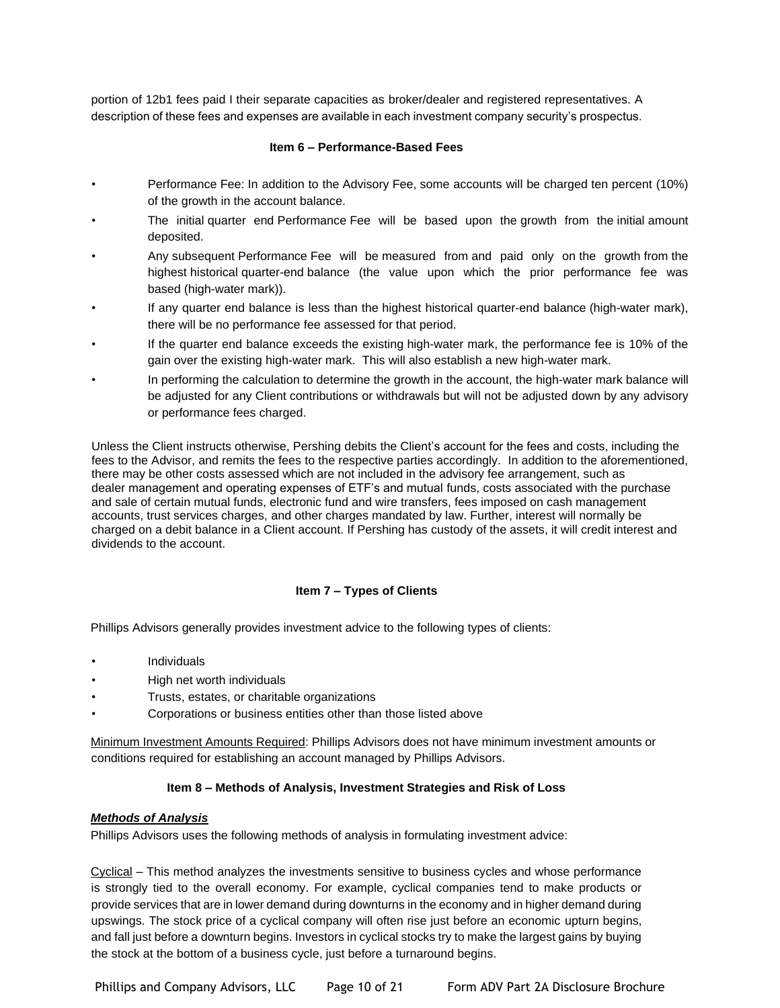portion of 12b1 fees paid I their separate capacities as broker/dealer and registered representatives. A description of these fees and expenses are available in each investment company security's prospectus.

## **Item 6 – Performance-Based Fees**

- Performance Fee: In addition to the Advisory Fee, some accounts will be charged ten percent (10%) of the growth in the account balance.
- The initial quarter end Performance Fee will be based upon the growth from the initial amount deposited.
- Any subsequent Performance Fee will be measured from and paid only on the growth from the highest historical quarter-end balance (the value upon which the prior performance fee was based (high-water mark)).
- If any quarter end balance is less than the highest historical quarter-end balance (high-water mark), there will be no performance fee assessed for that period.
- If the quarter end balance exceeds the existing high-water mark, the performance fee is 10% of the gain over the existing high-water mark. This will also establish a new high-water mark.
- In performing the calculation to determine the growth in the account, the high-water mark balance will be adjusted for any Client contributions or withdrawals but will not be adjusted down by any advisory or performance fees charged.

Unless the Client instructs otherwise, Pershing debits the Client's account for the fees and costs, including the fees to the Advisor, and remits the fees to the respective parties accordingly. In addition to the aforementioned, there may be other costs assessed which are not included in the advisory fee arrangement, such as dealer management and operating expenses of ETF's and mutual funds, costs associated with the purchase and sale of certain mutual funds, electronic fund and wire transfers, fees imposed on cash management accounts, trust services charges, and other charges mandated by law. Further, interest will normally be charged on a debit balance in a Client account. If Pershing has custody of the assets, it will credit interest and dividends to the account.

## **Item 7 – Types of Clients**

Phillips Advisors generally provides investment advice to the following types of clients:

- **Individuals**
- High net worth individuals
- Trusts, estates, or charitable organizations
- Corporations or business entities other than those listed above

Minimum Investment Amounts Required: Phillips Advisors does not have minimum investment amounts or conditions required for establishing an account managed by Phillips Advisors.

## **Item 8 – Methods of Analysis, Investment Strategies and Risk of Loss**

#### *Methods of Analysis*

Phillips Advisors uses the following methods of analysis in formulating investment advice:

Cyclical – This method analyzes the investments sensitive to business cycles and whose performance is strongly tied to the overall economy. For example, cyclical companies tend to make products or provide services that are in lower demand during downturns in the economy and in higher demand during upswings. The stock price of a cyclical company will often rise just before an economic upturn begins, and fall just before a downturn begins. Investors in cyclical stocks try to make the largest gains by buying the stock at the bottom of a business cycle, just before a turnaround begins.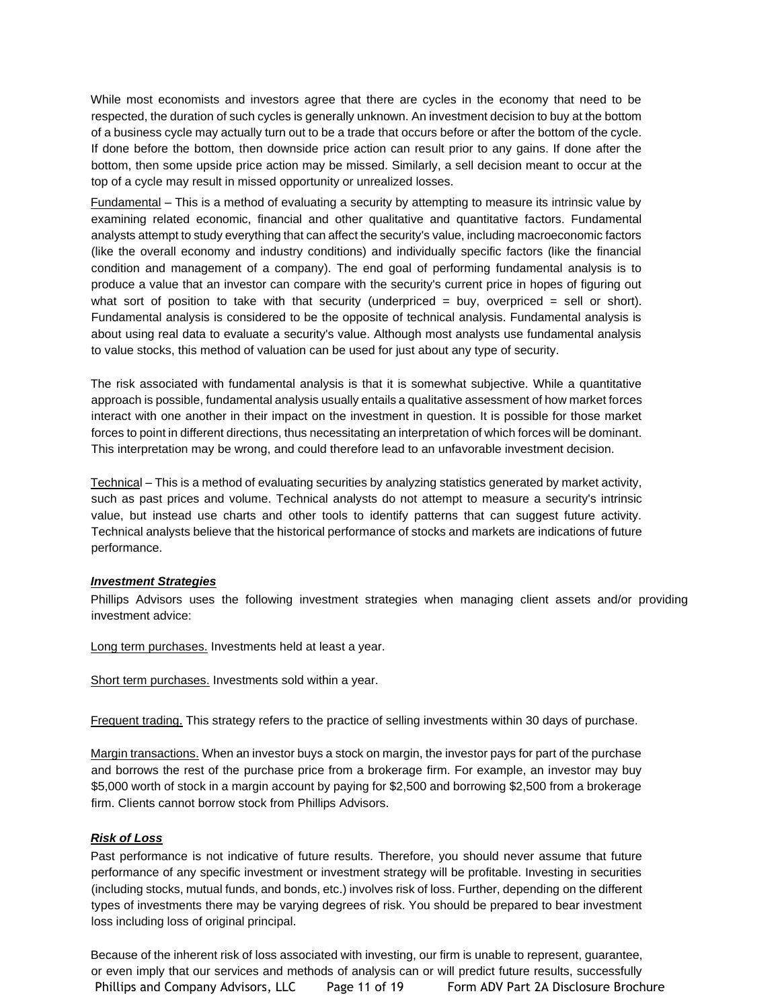While most economists and investors agree that there are cycles in the economy that need to be respected, the duration of such cycles is generally unknown. An investment decision to buy at the bottom of a business cycle may actually turn out to be a trade that occurs before or after the bottom of the cycle. If done before the bottom, then downside price action can result prior to any gains. If done after the bottom, then some upside price action may be missed. Similarly, a sell decision meant to occur at the top of a cycle may result in missed opportunity or unrealized losses.

Fundamental – This is a method of evaluating a security by attempting to measure its intrinsic value by examining related economic, financial and other qualitative and quantitative factors. Fundamental analysts attempt to study everything that can affect the security's value, including macroeconomic factors (like the overall economy and industry conditions) and individually specific factors (like the financial condition and management of a company). The end goal of performing fundamental analysis is to produce a value that an investor can compare with the security's current price in hopes of figuring out what sort of position to take with that security (underpriced  $=$  buy, overpriced  $=$  sell or short). Fundamental analysis is considered to be the opposite of technical analysis. Fundamental analysis is about using real data to evaluate a security's value. Although most analysts use fundamental analysis to value stocks, this method of valuation can be used for just about any type of security.

The risk associated with fundamental analysis is that it is somewhat subjective. While a quantitative approach is possible, fundamental analysis usually entails a qualitative assessment of how market forces interact with one another in their impact on the investment in question. It is possible for those market forces to point in different directions, thus necessitating an interpretation of which forces will be dominant. This interpretation may be wrong, and could therefore lead to an unfavorable investment decision.

Technical – This is a method of evaluating securities by analyzing statistics generated by market activity, such as past prices and volume. Technical analysts do not attempt to measure a security's intrinsic value, but instead use charts and other tools to identify patterns that can suggest future activity. Technical analysts believe that the historical performance of stocks and markets are indications of future performance.

#### *Investment Strategies*

Phillips Advisors uses the following investment strategies when managing client assets and/or providing investment advice:

Long term purchases. Investments held at least a year.

Short term purchases. Investments sold within a year.

Frequent trading. This strategy refers to the practice of selling investments within 30 days of purchase.

Margin transactions. When an investor buys a stock on margin, the investor pays for part of the purchase and borrows the rest of the purchase price from a brokerage firm. For example, an investor may buy \$5,000 worth of stock in a margin account by paying for \$2,500 and borrowing \$2,500 from a brokerage firm. Clients cannot borrow stock from Phillips Advisors.

## *Risk of Loss*

Past performance is not indicative of future results. Therefore, you should never assume that future performance of any specific investment or investment strategy will be profitable. Investing in securities (including stocks, mutual funds, and bonds, etc.) involves risk of loss. Further, depending on the different types of investments there may be varying degrees of risk. You should be prepared to bear investment loss including loss of original principal.

Phillips and Company Advisors, LLC Page 11 of 19 Form ADV Part 2A Disclosure Brochure Because of the inherent risk of loss associated with investing, our firm is unable to represent, guarantee, or even imply that our services and methods of analysis can or will predict future results, successfully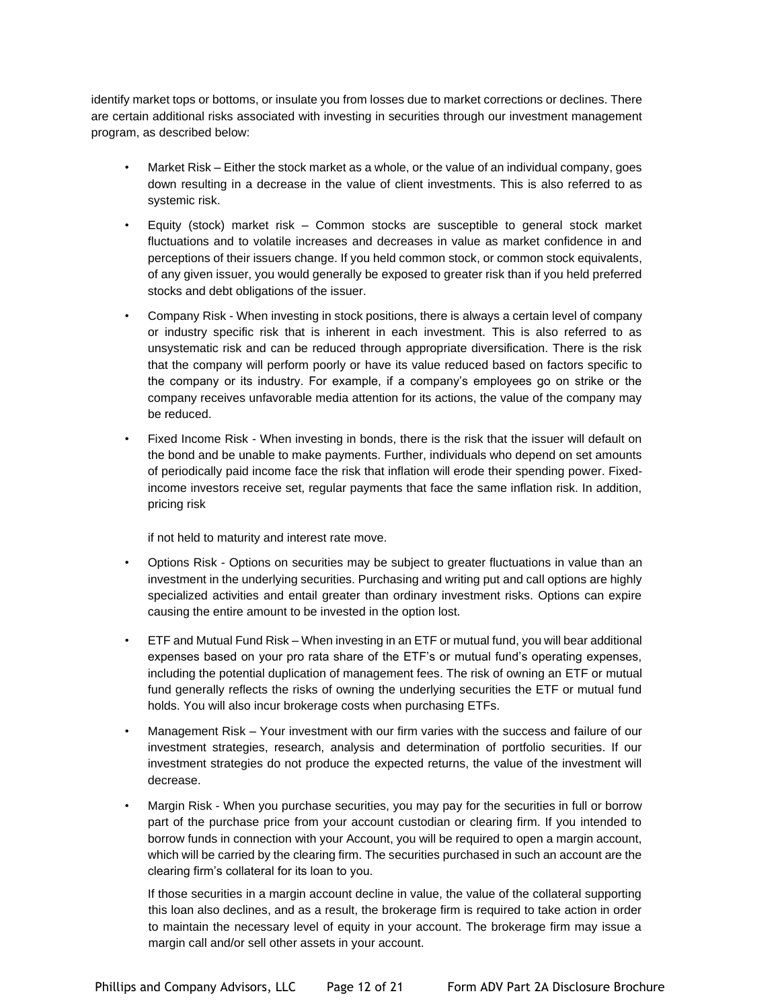identify market tops or bottoms, or insulate you from losses due to market corrections or declines. There are certain additional risks associated with investing in securities through our investment management program, as described below:

- Market Risk Either the stock market as a whole, or the value of an individual company, goes down resulting in a decrease in the value of client investments. This is also referred to as systemic risk.
- Equity (stock) market risk Common stocks are susceptible to general stock market fluctuations and to volatile increases and decreases in value as market confidence in and perceptions of their issuers change. If you held common stock, or common stock equivalents, of any given issuer, you would generally be exposed to greater risk than if you held preferred stocks and debt obligations of the issuer.
- Company Risk When investing in stock positions, there is always a certain level of company or industry specific risk that is inherent in each investment. This is also referred to as unsystematic risk and can be reduced through appropriate diversification. There is the risk that the company will perform poorly or have its value reduced based on factors specific to the company or its industry. For example, if a company's employees go on strike or the company receives unfavorable media attention for its actions, the value of the company may be reduced.
- Fixed Income Risk When investing in bonds, there is the risk that the issuer will default on the bond and be unable to make payments. Further, individuals who depend on set amounts of periodically paid income face the risk that inflation will erode their spending power. Fixedincome investors receive set, regular payments that face the same inflation risk. In addition, pricing risk

if not held to maturity and interest rate move.

- Options Risk Options on securities may be subject to greater fluctuations in value than an investment in the underlying securities. Purchasing and writing put and call options are highly specialized activities and entail greater than ordinary investment risks. Options can expire causing the entire amount to be invested in the option lost.
- ETF and Mutual Fund Risk When investing in an ETF or mutual fund, you will bear additional expenses based on your pro rata share of the ETF's or mutual fund's operating expenses, including the potential duplication of management fees. The risk of owning an ETF or mutual fund generally reflects the risks of owning the underlying securities the ETF or mutual fund holds. You will also incur brokerage costs when purchasing ETFs.
- Management Risk Your investment with our firm varies with the success and failure of our investment strategies, research, analysis and determination of portfolio securities. If our investment strategies do not produce the expected returns, the value of the investment will decrease.
- Margin Risk When you purchase securities, you may pay for the securities in full or borrow part of the purchase price from your account custodian or clearing firm. If you intended to borrow funds in connection with your Account, you will be required to open a margin account, which will be carried by the clearing firm. The securities purchased in such an account are the clearing firm's collateral for its loan to you.

If those securities in a margin account decline in value, the value of the collateral supporting this loan also declines, and as a result, the brokerage firm is required to take action in order to maintain the necessary level of equity in your account. The brokerage firm may issue a margin call and/or sell other assets in your account.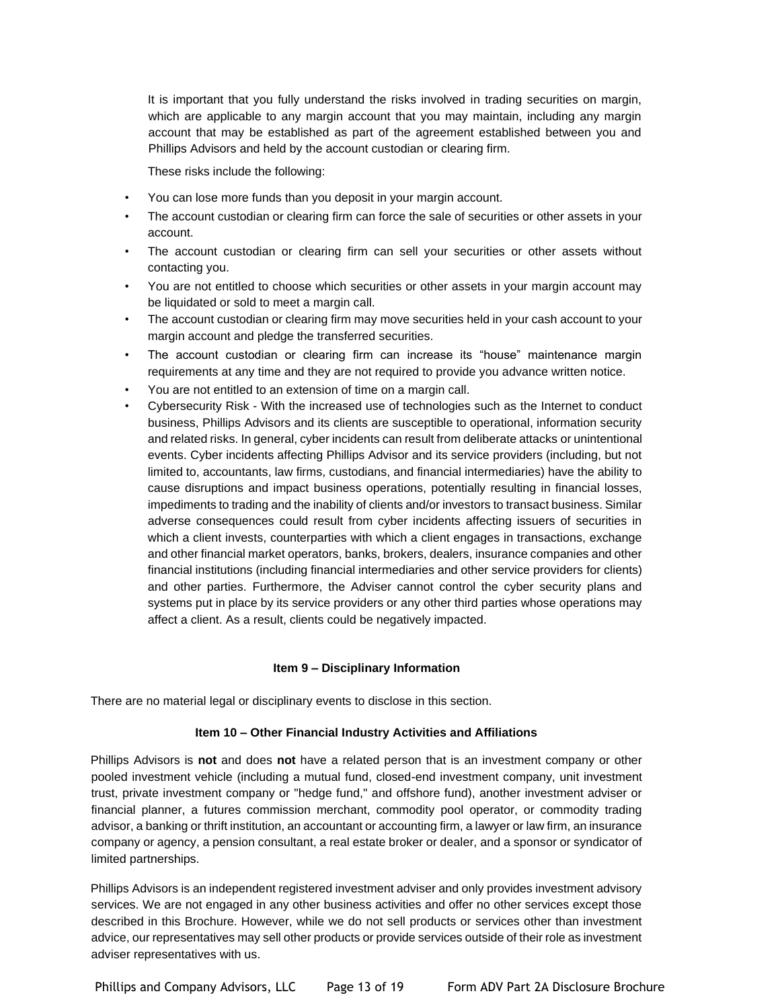It is important that you fully understand the risks involved in trading securities on margin, which are applicable to any margin account that you may maintain, including any margin account that may be established as part of the agreement established between you and Phillips Advisors and held by the account custodian or clearing firm.

These risks include the following:

- You can lose more funds than you deposit in your margin account.
- The account custodian or clearing firm can force the sale of securities or other assets in your account.
- The account custodian or clearing firm can sell your securities or other assets without contacting you.
- You are not entitled to choose which securities or other assets in your margin account may be liquidated or sold to meet a margin call.
- The account custodian or clearing firm may move securities held in your cash account to your margin account and pledge the transferred securities.
- The account custodian or clearing firm can increase its "house" maintenance margin requirements at any time and they are not required to provide you advance written notice.
- You are not entitled to an extension of time on a margin call.
- Cybersecurity Risk With the increased use of technologies such as the Internet to conduct business, Phillips Advisors and its clients are susceptible to operational, information security and related risks. In general, cyber incidents can result from deliberate attacks or unintentional events. Cyber incidents affecting Phillips Advisor and its service providers (including, but not limited to, accountants, law firms, custodians, and financial intermediaries) have the ability to cause disruptions and impact business operations, potentially resulting in financial losses, impediments to trading and the inability of clients and/or investors to transact business. Similar adverse consequences could result from cyber incidents affecting issuers of securities in which a client invests, counterparties with which a client engages in transactions, exchange and other financial market operators, banks, brokers, dealers, insurance companies and other financial institutions (including financial intermediaries and other service providers for clients) and other parties. Furthermore, the Adviser cannot control the cyber security plans and systems put in place by its service providers or any other third parties whose operations may affect a client. As a result, clients could be negatively impacted.

#### **Item 9 – Disciplinary Information**

There are no material legal or disciplinary events to disclose in this section.

#### **Item 10 – Other Financial Industry Activities and Affiliations**

Phillips Advisors is **not** and does **not** have a related person that is an investment company or other pooled investment vehicle (including a mutual fund, closed-end investment company, unit investment trust, private investment company or "hedge fund," and offshore fund), another investment adviser or financial planner, a futures commission merchant, commodity pool operator, or commodity trading advisor, a banking or thrift institution, an accountant or accounting firm, a lawyer or law firm, an insurance company or agency, a pension consultant, a real estate broker or dealer, and a sponsor or syndicator of limited partnerships.

Phillips Advisors is an independent registered investment adviser and only provides investment advisory services. We are not engaged in any other business activities and offer no other services except those described in this Brochure. However, while we do not sell products or services other than investment advice, our representatives may sell other products or provide services outside of their role as investment adviser representatives with us.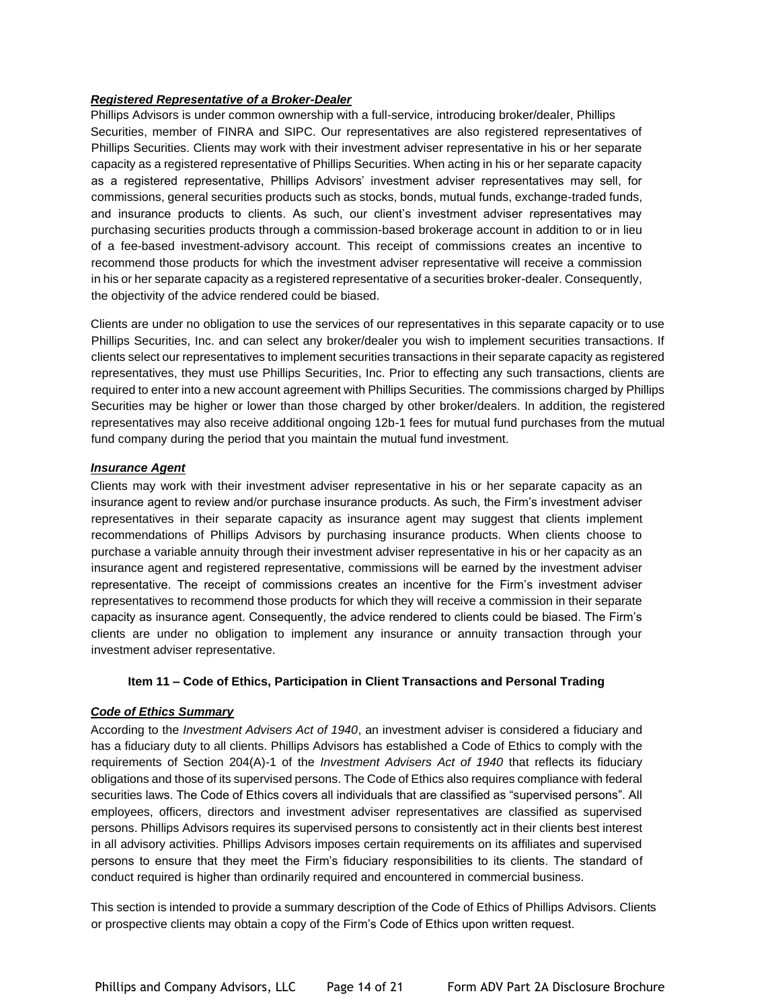## *Registered Representative of a Broker-Dealer*

Phillips Advisors is under common ownership with a full-service, introducing broker/dealer, Phillips Securities, member of FINRA and SIPC. Our representatives are also registered representatives of Phillips Securities. Clients may work with their investment adviser representative in his or her separate capacity as a registered representative of Phillips Securities. When acting in his or her separate capacity as a registered representative, Phillips Advisors' investment adviser representatives may sell, for commissions, general securities products such as stocks, bonds, mutual funds, exchange-traded funds, and insurance products to clients. As such, our client's investment adviser representatives may purchasing securities products through a commission-based brokerage account in addition to or in lieu of a fee-based investment-advisory account. This receipt of commissions creates an incentive to recommend those products for which the investment adviser representative will receive a commission in his or her separate capacity as a registered representative of a securities broker-dealer. Consequently, the objectivity of the advice rendered could be biased.

Clients are under no obligation to use the services of our representatives in this separate capacity or to use Phillips Securities, Inc. and can select any broker/dealer you wish to implement securities transactions. If clients select our representatives to implement securities transactions in their separate capacity as registered representatives, they must use Phillips Securities, Inc. Prior to effecting any such transactions, clients are required to enter into a new account agreement with Phillips Securities. The commissions charged by Phillips Securities may be higher or lower than those charged by other broker/dealers. In addition, the registered representatives may also receive additional ongoing 12b-1 fees for mutual fund purchases from the mutual fund company during the period that you maintain the mutual fund investment.

## *Insurance Agent*

Clients may work with their investment adviser representative in his or her separate capacity as an insurance agent to review and/or purchase insurance products. As such, the Firm's investment adviser representatives in their separate capacity as insurance agent may suggest that clients implement recommendations of Phillips Advisors by purchasing insurance products. When clients choose to purchase a variable annuity through their investment adviser representative in his or her capacity as an insurance agent and registered representative, commissions will be earned by the investment adviser representative. The receipt of commissions creates an incentive for the Firm's investment adviser representatives to recommend those products for which they will receive a commission in their separate capacity as insurance agent. Consequently, the advice rendered to clients could be biased. The Firm's clients are under no obligation to implement any insurance or annuity transaction through your investment adviser representative.

#### **Item 11 – Code of Ethics, Participation in Client Transactions and Personal Trading**

## *Code of Ethics Summary*

According to the *Investment Advisers Act of 1940*, an investment adviser is considered a fiduciary and has a fiduciary duty to all clients. Phillips Advisors has established a Code of Ethics to comply with the requirements of Section 204(A)-1 of the *Investment Advisers Act of 1940* that reflects its fiduciary obligations and those of its supervised persons. The Code of Ethics also requires compliance with federal securities laws. The Code of Ethics covers all individuals that are classified as "supervised persons". All employees, officers, directors and investment adviser representatives are classified as supervised persons. Phillips Advisors requires its supervised persons to consistently act in their clients best interest in all advisory activities. Phillips Advisors imposes certain requirements on its affiliates and supervised persons to ensure that they meet the Firm's fiduciary responsibilities to its clients. The standard of conduct required is higher than ordinarily required and encountered in commercial business.

This section is intended to provide a summary description of the Code of Ethics of Phillips Advisors. Clients or prospective clients may obtain a copy of the Firm's Code of Ethics upon written request.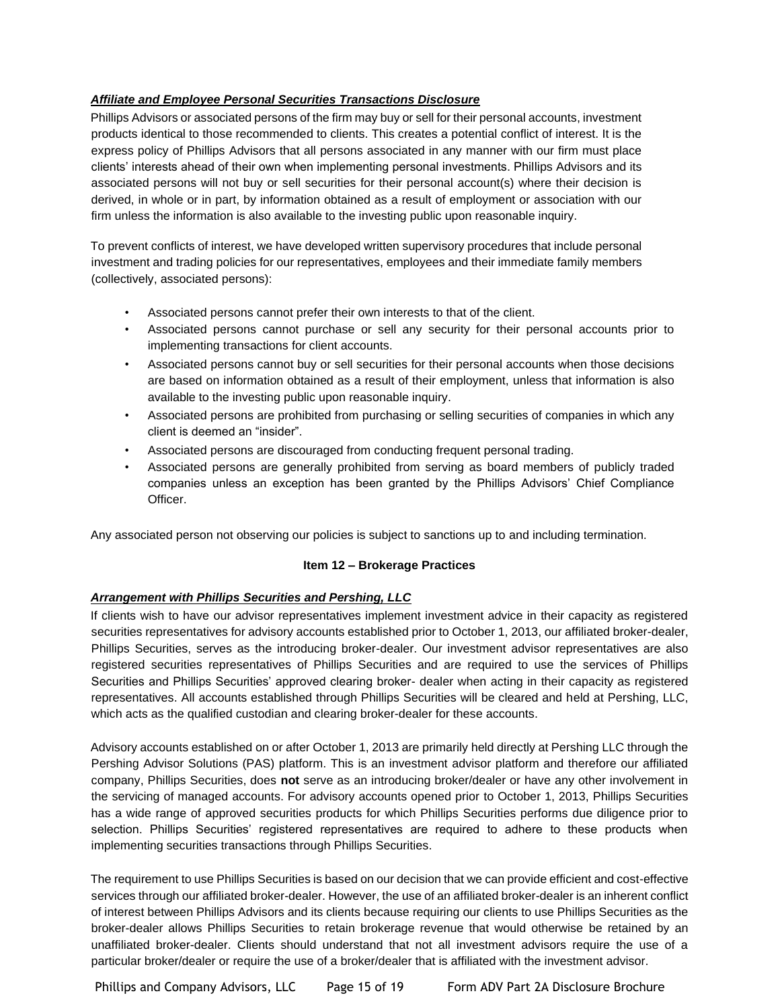## *Affiliate and Employee Personal Securities Transactions Disclosure*

Phillips Advisors or associated persons of the firm may buy or sell for their personal accounts, investment products identical to those recommended to clients. This creates a potential conflict of interest. It is the express policy of Phillips Advisors that all persons associated in any manner with our firm must place clients' interests ahead of their own when implementing personal investments. Phillips Advisors and its associated persons will not buy or sell securities for their personal account(s) where their decision is derived, in whole or in part, by information obtained as a result of employment or association with our firm unless the information is also available to the investing public upon reasonable inquiry.

To prevent conflicts of interest, we have developed written supervisory procedures that include personal investment and trading policies for our representatives, employees and their immediate family members (collectively, associated persons):

- Associated persons cannot prefer their own interests to that of the client.
- Associated persons cannot purchase or sell any security for their personal accounts prior to implementing transactions for client accounts.
- Associated persons cannot buy or sell securities for their personal accounts when those decisions are based on information obtained as a result of their employment, unless that information is also available to the investing public upon reasonable inquiry.
- Associated persons are prohibited from purchasing or selling securities of companies in which any client is deemed an "insider".
- Associated persons are discouraged from conducting frequent personal trading.
- Associated persons are generally prohibited from serving as board members of publicly traded companies unless an exception has been granted by the Phillips Advisors' Chief Compliance Officer.

Any associated person not observing our policies is subject to sanctions up to and including termination.

## **Item 12 – Brokerage Practices**

## *Arrangement with Phillips Securities and Pershing, LLC*

If clients wish to have our advisor representatives implement investment advice in their capacity as registered securities representatives for advisory accounts established prior to October 1, 2013, our affiliated broker-dealer, Phillips Securities, serves as the introducing broker-dealer. Our investment advisor representatives are also registered securities representatives of Phillips Securities and are required to use the services of Phillips Securities and Phillips Securities' approved clearing broker- dealer when acting in their capacity as registered representatives. All accounts established through Phillips Securities will be cleared and held at Pershing, LLC, which acts as the qualified custodian and clearing broker-dealer for these accounts.

Advisory accounts established on or after October 1, 2013 are primarily held directly at Pershing LLC through the Pershing Advisor Solutions (PAS) platform. This is an investment advisor platform and therefore our affiliated company, Phillips Securities, does **not** serve as an introducing broker/dealer or have any other involvement in the servicing of managed accounts. For advisory accounts opened prior to October 1, 2013, Phillips Securities has a wide range of approved securities products for which Phillips Securities performs due diligence prior to selection. Phillips Securities' registered representatives are required to adhere to these products when implementing securities transactions through Phillips Securities.

The requirement to use Phillips Securities is based on our decision that we can provide efficient and cost-effective services through our affiliated broker-dealer. However, the use of an affiliated broker-dealer is an inherent conflict of interest between Phillips Advisors and its clients because requiring our clients to use Phillips Securities as the broker-dealer allows Phillips Securities to retain brokerage revenue that would otherwise be retained by an unaffiliated broker-dealer. Clients should understand that not all investment advisors require the use of a particular broker/dealer or require the use of a broker/dealer that is affiliated with the investment advisor.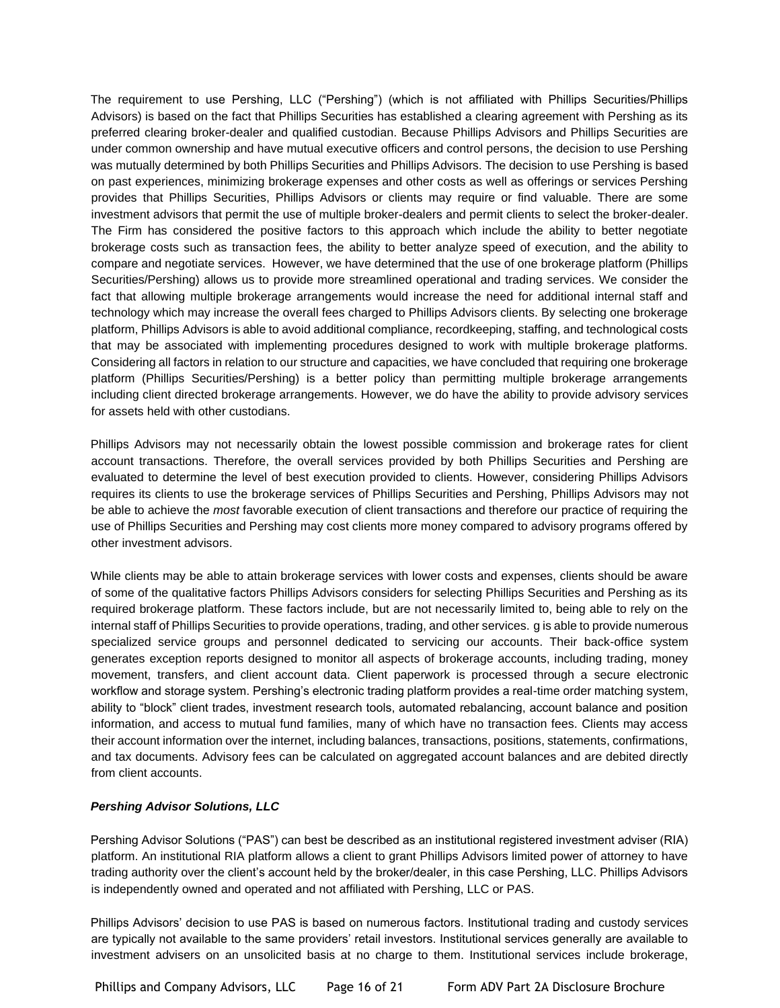The requirement to use Pershing, LLC ("Pershing") (which is not affiliated with Phillips Securities/Phillips Advisors) is based on the fact that Phillips Securities has established a clearing agreement with Pershing as its preferred clearing broker-dealer and qualified custodian. Because Phillips Advisors and Phillips Securities are under common ownership and have mutual executive officers and control persons, the decision to use Pershing was mutually determined by both Phillips Securities and Phillips Advisors. The decision to use Pershing is based on past experiences, minimizing brokerage expenses and other costs as well as offerings or services Pershing provides that Phillips Securities, Phillips Advisors or clients may require or find valuable. There are some investment advisors that permit the use of multiple broker-dealers and permit clients to select the broker-dealer. The Firm has considered the positive factors to this approach which include the ability to better negotiate brokerage costs such as transaction fees, the ability to better analyze speed of execution, and the ability to compare and negotiate services. However, we have determined that the use of one brokerage platform (Phillips Securities/Pershing) allows us to provide more streamlined operational and trading services. We consider the fact that allowing multiple brokerage arrangements would increase the need for additional internal staff and technology which may increase the overall fees charged to Phillips Advisors clients. By selecting one brokerage platform, Phillips Advisors is able to avoid additional compliance, recordkeeping, staffing, and technological costs that may be associated with implementing procedures designed to work with multiple brokerage platforms. Considering all factors in relation to our structure and capacities, we have concluded that requiring one brokerage platform (Phillips Securities/Pershing) is a better policy than permitting multiple brokerage arrangements including client directed brokerage arrangements. However, we do have the ability to provide advisory services for assets held with other custodians.

Phillips Advisors may not necessarily obtain the lowest possible commission and brokerage rates for client account transactions. Therefore, the overall services provided by both Phillips Securities and Pershing are evaluated to determine the level of best execution provided to clients. However, considering Phillips Advisors requires its clients to use the brokerage services of Phillips Securities and Pershing, Phillips Advisors may not be able to achieve the *most* favorable execution of client transactions and therefore our practice of requiring the use of Phillips Securities and Pershing may cost clients more money compared to advisory programs offered by other investment advisors.

While clients may be able to attain brokerage services with lower costs and expenses, clients should be aware of some of the qualitative factors Phillips Advisors considers for selecting Phillips Securities and Pershing as its required brokerage platform. These factors include, but are not necessarily limited to, being able to rely on the internal staff of Phillips Securities to provide operations, trading, and other services. g is able to provide numerous specialized service groups and personnel dedicated to servicing our accounts. Their back-office system generates exception reports designed to monitor all aspects of brokerage accounts, including trading, money movement, transfers, and client account data. Client paperwork is processed through a secure electronic workflow and storage system. Pershing's electronic trading platform provides a real-time order matching system, ability to "block" client trades, investment research tools, automated rebalancing, account balance and position information, and access to mutual fund families, many of which have no transaction fees. Clients may access their account information over the internet, including balances, transactions, positions, statements, confirmations, and tax documents. Advisory fees can be calculated on aggregated account balances and are debited directly from client accounts.

## *Pershing Advisor Solutions, LLC*

Pershing Advisor Solutions ("PAS") can best be described as an institutional registered investment adviser (RIA) platform. An institutional RIA platform allows a client to grant Phillips Advisors limited power of attorney to have trading authority over the client's account held by the broker/dealer, in this case Pershing, LLC. Phillips Advisors is independently owned and operated and not affiliated with Pershing, LLC or PAS.

Phillips Advisors' decision to use PAS is based on numerous factors. Institutional trading and custody services are typically not available to the same providers' retail investors. Institutional services generally are available to investment advisers on an unsolicited basis at no charge to them. Institutional services include brokerage,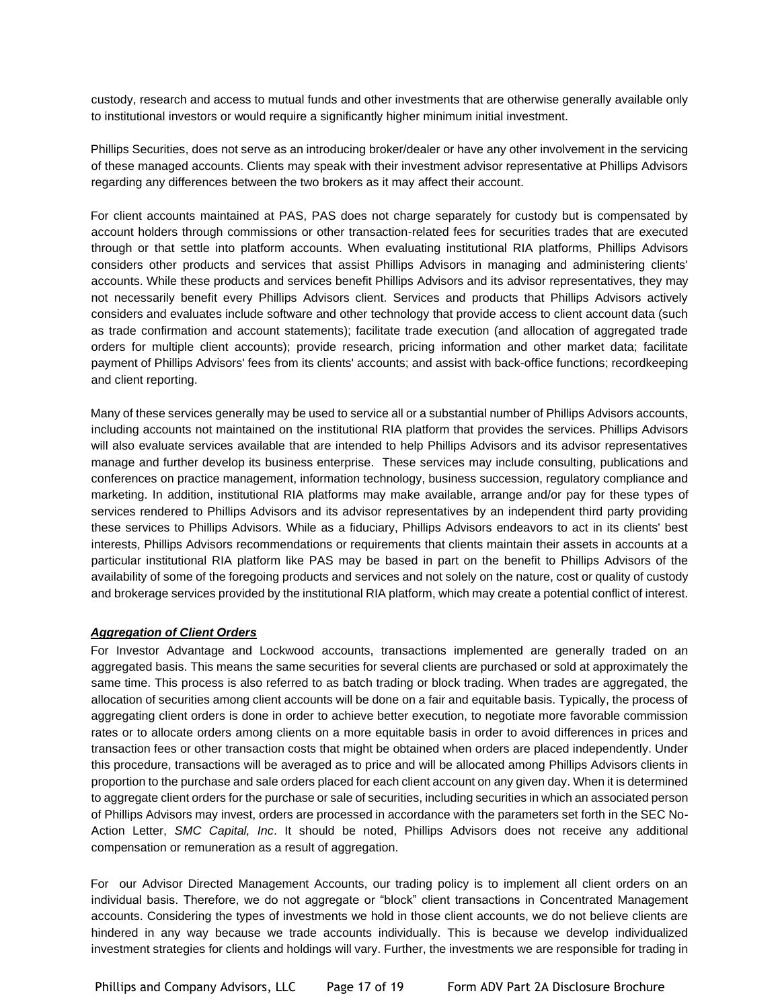custody, research and access to mutual funds and other investments that are otherwise generally available only to institutional investors or would require a significantly higher minimum initial investment.

Phillips Securities, does not serve as an introducing broker/dealer or have any other involvement in the servicing of these managed accounts. Clients may speak with their investment advisor representative at Phillips Advisors regarding any differences between the two brokers as it may affect their account.

For client accounts maintained at PAS, PAS does not charge separately for custody but is compensated by account holders through commissions or other transaction-related fees for securities trades that are executed through or that settle into platform accounts. When evaluating institutional RIA platforms, Phillips Advisors considers other products and services that assist Phillips Advisors in managing and administering clients' accounts. While these products and services benefit Phillips Advisors and its advisor representatives, they may not necessarily benefit every Phillips Advisors client. Services and products that Phillips Advisors actively considers and evaluates include software and other technology that provide access to client account data (such as trade confirmation and account statements); facilitate trade execution (and allocation of aggregated trade orders for multiple client accounts); provide research, pricing information and other market data; facilitate payment of Phillips Advisors' fees from its clients' accounts; and assist with back-office functions; recordkeeping and client reporting.

Many of these services generally may be used to service all or a substantial number of Phillips Advisors accounts, including accounts not maintained on the institutional RIA platform that provides the services. Phillips Advisors will also evaluate services available that are intended to help Phillips Advisors and its advisor representatives manage and further develop its business enterprise. These services may include consulting, publications and conferences on practice management, information technology, business succession, regulatory compliance and marketing. In addition, institutional RIA platforms may make available, arrange and/or pay for these types of services rendered to Phillips Advisors and its advisor representatives by an independent third party providing these services to Phillips Advisors. While as a fiduciary, Phillips Advisors endeavors to act in its clients' best interests, Phillips Advisors recommendations or requirements that clients maintain their assets in accounts at a particular institutional RIA platform like PAS may be based in part on the benefit to Phillips Advisors of the availability of some of the foregoing products and services and not solely on the nature, cost or quality of custody and brokerage services provided by the institutional RIA platform, which may create a potential conflict of interest.

## *Aggregation of Client Orders*

For Investor Advantage and Lockwood accounts, transactions implemented are generally traded on an aggregated basis. This means the same securities for several clients are purchased or sold at approximately the same time. This process is also referred to as batch trading or block trading. When trades are aggregated, the allocation of securities among client accounts will be done on a fair and equitable basis. Typically, the process of aggregating client orders is done in order to achieve better execution, to negotiate more favorable commission rates or to allocate orders among clients on a more equitable basis in order to avoid differences in prices and transaction fees or other transaction costs that might be obtained when orders are placed independently. Under this procedure, transactions will be averaged as to price and will be allocated among Phillips Advisors clients in proportion to the purchase and sale orders placed for each client account on any given day. When it is determined to aggregate client orders for the purchase or sale of securities, including securities in which an associated person of Phillips Advisors may invest, orders are processed in accordance with the parameters set forth in the SEC No-Action Letter, *SMC Capital, Inc*. It should be noted, Phillips Advisors does not receive any additional compensation or remuneration as a result of aggregation.

For our Advisor Directed Management Accounts, our trading policy is to implement all client orders on an individual basis. Therefore, we do not aggregate or "block" client transactions in Concentrated Management accounts. Considering the types of investments we hold in those client accounts, we do not believe clients are hindered in any way because we trade accounts individually. This is because we develop individualized investment strategies for clients and holdings will vary. Further, the investments we are responsible for trading in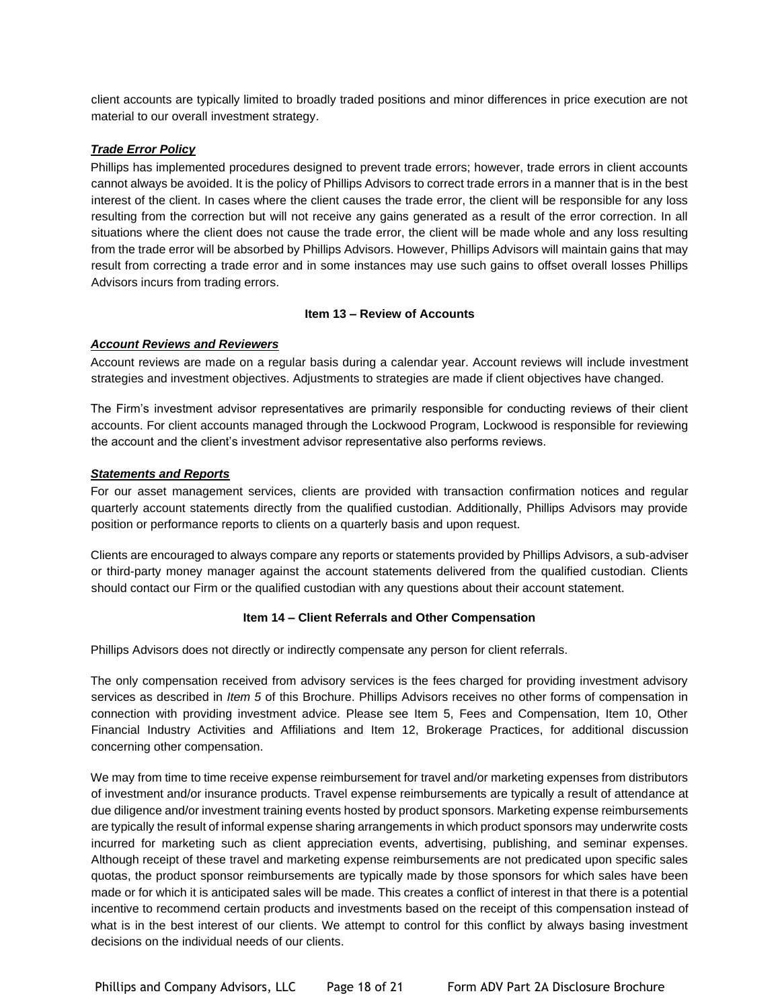client accounts are typically limited to broadly traded positions and minor differences in price execution are not material to our overall investment strategy.

## *Trade Error Policy*

Phillips has implemented procedures designed to prevent trade errors; however, trade errors in client accounts cannot always be avoided. It is the policy of Phillips Advisors to correct trade errors in a manner that is in the best interest of the client. In cases where the client causes the trade error, the client will be responsible for any loss resulting from the correction but will not receive any gains generated as a result of the error correction. In all situations where the client does not cause the trade error, the client will be made whole and any loss resulting from the trade error will be absorbed by Phillips Advisors. However, Phillips Advisors will maintain gains that may result from correcting a trade error and in some instances may use such gains to offset overall losses Phillips Advisors incurs from trading errors.

## **Item 13 – Review of Accounts**

## *Account Reviews and Reviewers*

Account reviews are made on a regular basis during a calendar year. Account reviews will include investment strategies and investment objectives. Adjustments to strategies are made if client objectives have changed.

The Firm's investment advisor representatives are primarily responsible for conducting reviews of their client accounts. For client accounts managed through the Lockwood Program, Lockwood is responsible for reviewing the account and the client's investment advisor representative also performs reviews.

## *Statements and Reports*

For our asset management services, clients are provided with transaction confirmation notices and regular quarterly account statements directly from the qualified custodian. Additionally, Phillips Advisors may provide position or performance reports to clients on a quarterly basis and upon request.

Clients are encouraged to always compare any reports or statements provided by Phillips Advisors, a sub-adviser or third-party money manager against the account statements delivered from the qualified custodian. Clients should contact our Firm or the qualified custodian with any questions about their account statement.

## **Item 14 – Client Referrals and Other Compensation**

Phillips Advisors does not directly or indirectly compensate any person for client referrals.

The only compensation received from advisory services is the fees charged for providing investment advisory services as described in *Item 5* of this Brochure. Phillips Advisors receives no other forms of compensation in connection with providing investment advice. Please see Item 5, Fees and Compensation, Item 10, Other Financial Industry Activities and Affiliations and Item 12, Brokerage Practices, for additional discussion concerning other compensation.

We may from time to time receive expense reimbursement for travel and/or marketing expenses from distributors of investment and/or insurance products. Travel expense reimbursements are typically a result of attendance at due diligence and/or investment training events hosted by product sponsors. Marketing expense reimbursements are typically the result of informal expense sharing arrangements in which product sponsors may underwrite costs incurred for marketing such as client appreciation events, advertising, publishing, and seminar expenses. Although receipt of these travel and marketing expense reimbursements are not predicated upon specific sales quotas, the product sponsor reimbursements are typically made by those sponsors for which sales have been made or for which it is anticipated sales will be made. This creates a conflict of interest in that there is a potential incentive to recommend certain products and investments based on the receipt of this compensation instead of what is in the best interest of our clients. We attempt to control for this conflict by always basing investment decisions on the individual needs of our clients.